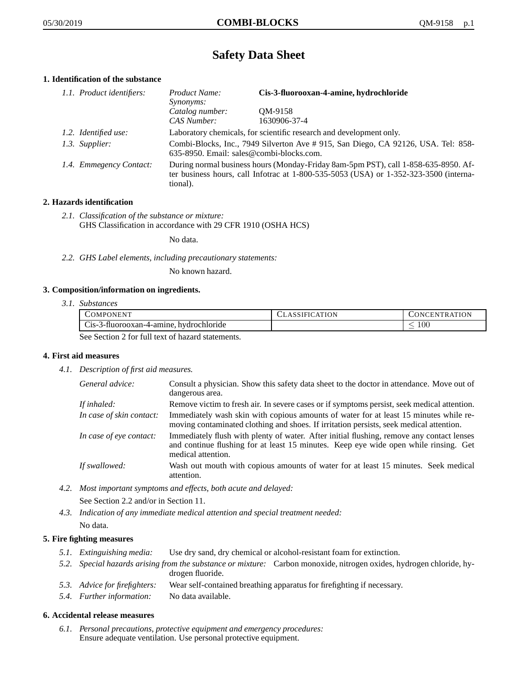# **Safety Data Sheet**

## **1. Identification of the substance**

| 1.1. Product identifiers: | Product Name:<br><i>Synonyms:</i>                                                                                                                                                           | Cis-3-fluorooxan-4-amine, hydrochloride |
|---------------------------|---------------------------------------------------------------------------------------------------------------------------------------------------------------------------------------------|-----------------------------------------|
|                           | Catalog number:<br>CAS Number:                                                                                                                                                              | OM-9158<br>1630906-37-4                 |
| 1.2. Identified use:      | Laboratory chemicals, for scientific research and development only.                                                                                                                         |                                         |
| 1.3. Supplier:            | Combi-Blocks, Inc., 7949 Silverton Ave # 915, San Diego, CA 92126, USA. Tel: 858-<br>635-8950. Email: sales@combi-blocks.com.                                                               |                                         |
| 1.4. Emmegency Contact:   | During normal business hours (Monday-Friday 8am-5pm PST), call 1-858-635-8950. Af-<br>ter business hours, call Infotrac at $1-800-535-5053$ (USA) or $1-352-323-3500$ (interna-<br>tional). |                                         |

## **2. Hazards identification**

*2.1. Classification of the substance or mixture:* GHS Classification in accordance with 29 CFR 1910 (OSHA HCS)

No data.

*2.2. GHS Label elements, including precautionary statements:*

No known hazard.

#### **3. Composition/information on ingredients.**

*3.1. Substances*

| COMPONENT                                                               | CLASSIFICATION | CONCENTRATION |
|-------------------------------------------------------------------------|----------------|---------------|
| Cis-3-fluorooxan-4-amine, hydrochloride                                 |                | .00           |
| $\theta$ as $\theta$ assign $\theta$ for full tant of horord statements |                |               |

See Section 2 for full text of hazard statements.

#### **4. First aid measures**

*4.1. Description of first aid measures.*

| General advice:          | Consult a physician. Show this safety data sheet to the doctor in attendance. Move out of<br>dangerous area.                                                                                            |
|--------------------------|---------------------------------------------------------------------------------------------------------------------------------------------------------------------------------------------------------|
| If inhaled:              | Remove victim to fresh air. In severe cases or if symptoms persist, seek medical attention.                                                                                                             |
| In case of skin contact: | Immediately wash skin with copious amounts of water for at least 15 minutes while re-<br>moving contaminated clothing and shoes. If irritation persists, seek medical attention.                        |
| In case of eye contact:  | Immediately flush with plenty of water. After initial flushing, remove any contact lenses<br>and continue flushing for at least 15 minutes. Keep eye wide open while rinsing. Get<br>medical attention. |
| If swallowed:            | Wash out mouth with copious amounts of water for at least 15 minutes. Seek medical<br>attention.                                                                                                        |

*4.2. Most important symptoms and effects, both acute and delayed:*

See Section 2.2 and/or in Section 11.

*4.3. Indication of any immediate medical attention and special treatment needed:* No data.

## **5. Fire fighting measures**

- *5.1. Extinguishing media:* Use dry sand, dry chemical or alcohol-resistant foam for extinction.
- *5.2. Special hazards arising from the substance or mixture:* Carbon monoxide, nitrogen oxides, hydrogen chloride, hydrogen fluoride.
- *5.3. Advice for firefighters:* Wear self-contained breathing apparatus for firefighting if necessary.
- *5.4. Further information:* No data available.

## **6. Accidental release measures**

*6.1. Personal precautions, protective equipment and emergency procedures:* Ensure adequate ventilation. Use personal protective equipment.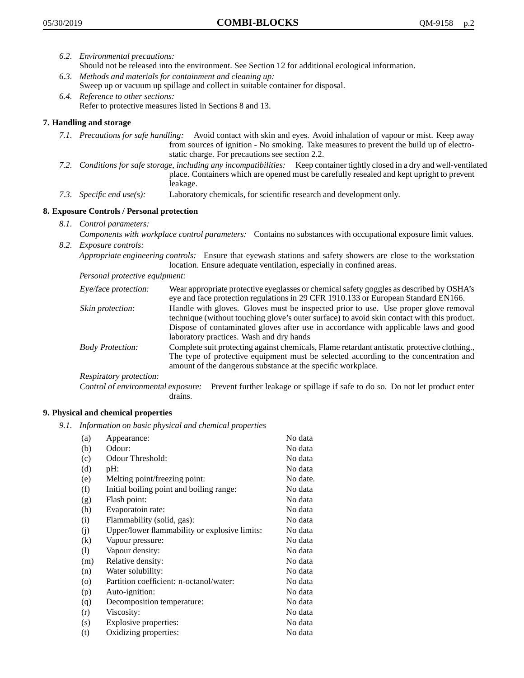- *6.2. Environmental precautions:* Should not be released into the environment. See Section 12 for additional ecological information.
- *6.3. Methods and materials for containment and cleaning up:* Sweep up or vacuum up spillage and collect in suitable container for disposal.
- *6.4. Reference to other sections:* Refer to protective measures listed in Sections 8 and 13.

# **7. Handling and storage**

- *7.1. Precautions for safe handling:* Avoid contact with skin and eyes. Avoid inhalation of vapour or mist. Keep away from sources of ignition - No smoking. Take measures to prevent the build up of electrostatic charge. For precautions see section 2.2.
- *7.2. Conditions for safe storage, including any incompatibilities:* Keep container tightly closed in a dry and well-ventilated place. Containers which are opened must be carefully resealed and kept upright to prevent leakage.
- *7.3. Specific end use(s):* Laboratory chemicals, for scientific research and development only.

## **8. Exposure Controls / Personal protection**

- *8.1. Control parameters:*
- *Components with workplace control parameters:* Contains no substances with occupational exposure limit values. *8.2. Exposure controls:*

*Appropriate engineering controls:* Ensure that eyewash stations and safety showers are close to the workstation location. Ensure adequate ventilation, especially in confined areas.

*Personal protective equipment:*

| Eye/face protection:    | Wear appropriate protective eyeglasses or chemical safety goggles as described by OSHA's<br>eye and face protection regulations in 29 CFR 1910.133 or European Standard EN166.                                                                                                                                         |
|-------------------------|------------------------------------------------------------------------------------------------------------------------------------------------------------------------------------------------------------------------------------------------------------------------------------------------------------------------|
| Skin protection:        | Handle with gloves. Gloves must be inspected prior to use. Use proper glove removal<br>technique (without touching glove's outer surface) to avoid skin contact with this product.<br>Dispose of contaminated gloves after use in accordance with applicable laws and good<br>laboratory practices. Wash and dry hands |
| <b>Body Protection:</b> | Complete suit protecting against chemicals, Flame retardant antistatic protective clothing.,<br>The type of protective equipment must be selected according to the concentration and<br>amount of the dangerous substance at the specific workplace.                                                                   |
| Respiratory protection: |                                                                                                                                                                                                                                                                                                                        |

Control of environmental exposure: Prevent further leakage or spillage if safe to do so. Do not let product enter drains.

#### **9. Physical and chemical properties**

*9.1. Information on basic physical and chemical properties*

| (a)                        | Appearance:                                   | No data  |
|----------------------------|-----------------------------------------------|----------|
| (b)                        | Odour:                                        | No data  |
| (c)                        | Odour Threshold:                              | No data  |
| (d)                        | pH:                                           | No data  |
| (e)                        | Melting point/freezing point:                 | No date. |
| (f)                        | Initial boiling point and boiling range:      | No data  |
| (g)                        | Flash point:                                  | No data  |
| (h)                        | Evaporatoin rate:                             | No data  |
| (i)                        | Flammability (solid, gas):                    | No data  |
| (j)                        | Upper/lower flammability or explosive limits: | No data  |
| (k)                        | Vapour pressure:                              | No data  |
| $\left( \mathrm{l}\right)$ | Vapour density:                               | No data  |
| (m)                        | Relative density:                             | No data  |
| (n)                        | Water solubility:                             | No data  |
| $\circ$                    | Partition coefficient: n-octanol/water:       | No data  |
| (p)                        | Auto-ignition:                                | No data  |
| (q)                        | Decomposition temperature:                    | No data  |
| (r)                        | Viscosity:                                    | No data  |
| (s)                        | Explosive properties:                         | No data  |
| (t)                        | Oxidizing properties:                         | No data  |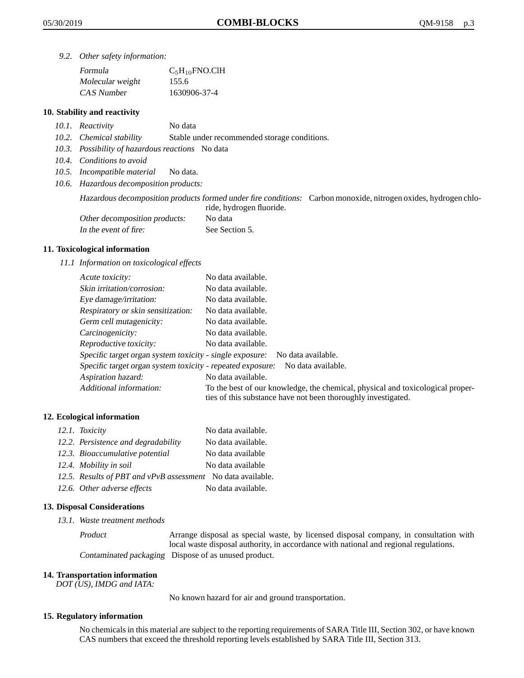*9.2. Other safety information:*

| Formula          | $C_5H_{10}$ FNO.ClH |
|------------------|---------------------|
| Molecular weight | 155.6               |
| CAS Number       | 1630906-37-4        |

#### **10. Stability and reactivity**

- *10.1. Reactivity* No data
- *10.2. Chemical stability* Stable under recommended storage conditions.
- *10.3. Possibility of hazardous reactions* No data
- *10.4. Conditions to avoid*
- *10.5. Incompatible material* No data.
- *10.6. Hazardous decomposition products:*

Hazardous decomposition products formed under fire conditions: Carbon monoxide, nitrogen oxides, hydrogen chloride, hydrogen fluoride.

| Other decomposition products: | No data        |
|-------------------------------|----------------|
| In the event of fire:         | See Section 5. |

#### **11. Toxicological information**

*11.1 Information on toxicological effects*

| Acute toxicity:                                            | No data available.                                                                                                                              |
|------------------------------------------------------------|-------------------------------------------------------------------------------------------------------------------------------------------------|
| Skin irritation/corrosion:                                 | No data available.                                                                                                                              |
| Eye damage/irritation:                                     | No data available.                                                                                                                              |
| Respiratory or skin sensitization:                         | No data available.                                                                                                                              |
| Germ cell mutagenicity:                                    | No data available.                                                                                                                              |
| Carcinogenicity:                                           | No data available.                                                                                                                              |
| Reproductive toxicity:                                     | No data available.                                                                                                                              |
| Specific target organ system toxicity - single exposure:   | No data available.                                                                                                                              |
| Specific target organ system toxicity - repeated exposure: | No data available.                                                                                                                              |
| Aspiration hazard:                                         | No data available.                                                                                                                              |
| Additional information:                                    | To the best of our knowledge, the chemical, physical and toxicological proper-<br>ties of this substance have not been thoroughly investigated. |

#### **12. Ecological information**

| 12.1. Toxicity                                              | No data available. |
|-------------------------------------------------------------|--------------------|
| 12.2. Persistence and degradability                         | No data available. |
| 12.3. Bioaccumulative potential                             | No data available  |
| 12.4. Mobility in soil                                      | No data available  |
| 12.5. Results of PBT and vPvB assessment No data available. |                    |
| 12.6. Other adverse effects                                 | No data available. |

#### **13. Disposal Considerations**

*13.1. Waste treatment methods*

Product Arrange disposal as special waste, by licensed disposal company, in consultation with local waste disposal authority, in accordance with national and regional regulations. Contaminated packaging Dispose of as unused product.

#### **14. Transportation information**

*DOT (US), IMDG and IATA:*

No known hazard for air and ground transportation.

#### **15. Regulatory information**

No chemicals in this material are subject to the reporting requirements of SARA Title III, Section 302, or have known CAS numbers that exceed the threshold reporting levels established by SARA Title III, Section 313.